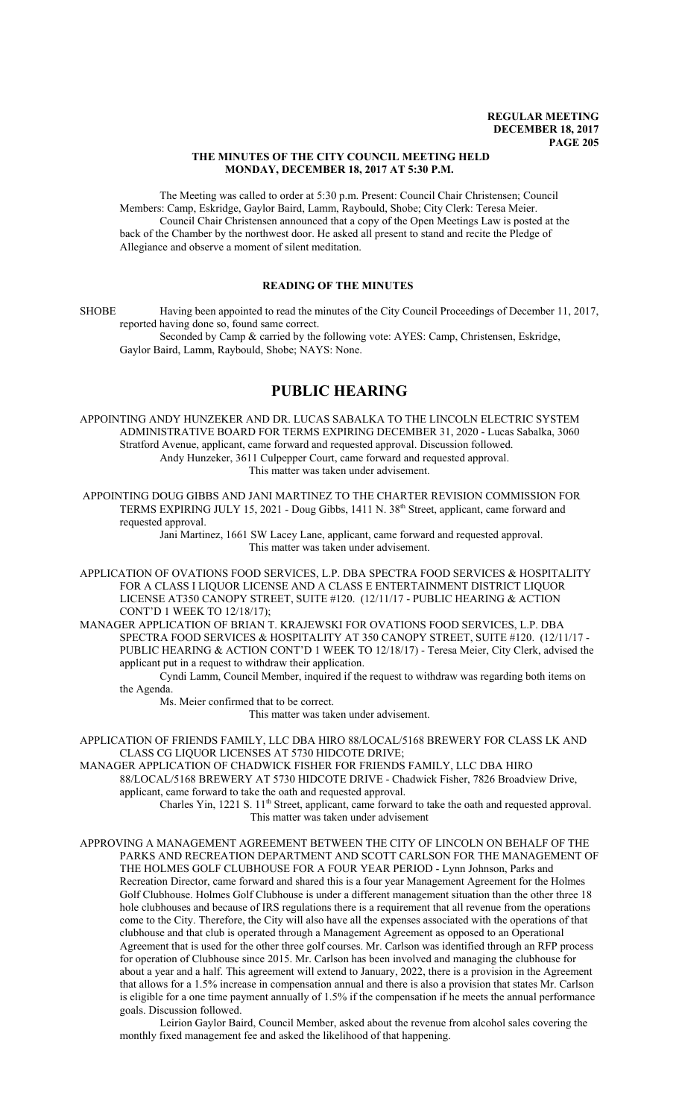# **THE MINUTES OF THE CITY COUNCIL MEETING HELD MONDAY, DECEMBER 18, 2017 AT 5:30 P.M.**

The Meeting was called to order at 5:30 p.m. Present: Council Chair Christensen; Council Members: Camp, Eskridge, Gaylor Baird, Lamm, Raybould, Shobe; City Clerk: Teresa Meier. Council Chair Christensen announced that a copy of the Open Meetings Law is posted at the back of the Chamber by the northwest door. He asked all present to stand and recite the Pledge of Allegiance and observe a moment of silent meditation.

# **READING OF THE MINUTES**

SHOBE Having been appointed to read the minutes of the City Council Proceedings of December 11, 2017, reported having done so, found same correct.

Seconded by Camp & carried by the following vote: AYES: Camp, Christensen, Eskridge, Gaylor Baird, Lamm, Raybould, Shobe; NAYS: None.

# **PUBLIC HEARING**

APPOINTING ANDY HUNZEKER AND DR. LUCAS SABALKA TO THE LINCOLN ELECTRIC SYSTEM ADMINISTRATIVE BOARD FOR TERMS EXPIRING DECEMBER 31, 2020 - Lucas Sabalka, 3060 Stratford Avenue, applicant, came forward and requested approval. Discussion followed. Andy Hunzeker, 3611 Culpepper Court, came forward and requested approval. This matter was taken under advisement.

 APPOINTING DOUG GIBBS AND JANI MARTINEZ TO THE CHARTER REVISION COMMISSION FOR TERMS EXPIRING JULY 15, 2021 - Doug Gibbs, 1411 N. 38<sup>th</sup> Street, applicant, came forward and requested approval.

Jani Martinez, 1661 SW Lacey Lane, applicant, came forward and requested approval. This matter was taken under advisement.

APPLICATION OF OVATIONS FOOD SERVICES, L.P. DBA SPECTRA FOOD SERVICES & HOSPITALITY FOR A CLASS I LIQUOR LICENSE AND A CLASS E ENTERTAINMENT DISTRICT LIQUOR LICENSE AT350 CANOPY STREET, SUITE #120. (12/11/17 - PUBLIC HEARING & ACTION CONT'D 1 WEEK TO 12/18/17);

MANAGER APPLICATION OF BRIAN T. KRAJEWSKI FOR OVATIONS FOOD SERVICES, L.P. DBA SPECTRA FOOD SERVICES & HOSPITALITY AT 350 CANOPY STREET, SUITE #120. (12/11/17 - PUBLIC HEARING & ACTION CONT'D 1 WEEK TO 12/18/17) - Teresa Meier, City Clerk, advised the applicant put in a request to withdraw their application.

Cyndi Lamm, Council Member, inquired if the request to withdraw was regarding both items on the Agenda.

Ms. Meier confirmed that to be correct.

This matter was taken under advisement.

APPLICATION OF FRIENDS FAMILY, LLC DBA HIRO 88/LOCAL/5168 BREWERY FOR CLASS LK AND CLASS CG LIQUOR LICENSES AT 5730 HIDCOTE DRIVE;

MANAGER APPLICATION OF CHADWICK FISHER FOR FRIENDS FAMILY, LLC DBA HIRO 88/LOCAL/5168 BREWERY AT 5730 HIDCOTE DRIVE - Chadwick Fisher, 7826 Broadview Drive, applicant, came forward to take the oath and requested approval.

Charles Yin, 1221 S. 11<sup>th</sup> Street, applicant, came forward to take the oath and requested approval. This matter was taken under advisement

APPROVING A MANAGEMENT AGREEMENT BETWEEN THE CITY OF LINCOLN ON BEHALF OF THE PARKS AND RECREATION DEPARTMENT AND SCOTT CARLSON FOR THE MANAGEMENT OF THE HOLMES GOLF CLUBHOUSE FOR A FOUR YEAR PERIOD - Lynn Johnson, Parks and Recreation Director, came forward and shared this is a four year Management Agreement for the Holmes Golf Clubhouse. Holmes Golf Clubhouse is under a different management situation than the other three 18 hole clubhouses and because of IRS regulations there is a requirement that all revenue from the operations come to the City. Therefore, the City will also have all the expenses associated with the operations of that clubhouse and that club is operated through a Management Agreement as opposed to an Operational Agreement that is used for the other three golf courses. Mr. Carlson was identified through an RFP process for operation of Clubhouse since 2015. Mr. Carlson has been involved and managing the clubhouse for about a year and a half. This agreement will extend to January, 2022, there is a provision in the Agreement that allows for a 1.5% increase in compensation annual and there is also a provision that states Mr. Carlson is eligible for a one time payment annually of 1.5% if the compensation if he meets the annual performance goals. Discussion followed.

Leirion Gaylor Baird, Council Member, asked about the revenue from alcohol sales covering the monthly fixed management fee and asked the likelihood of that happening.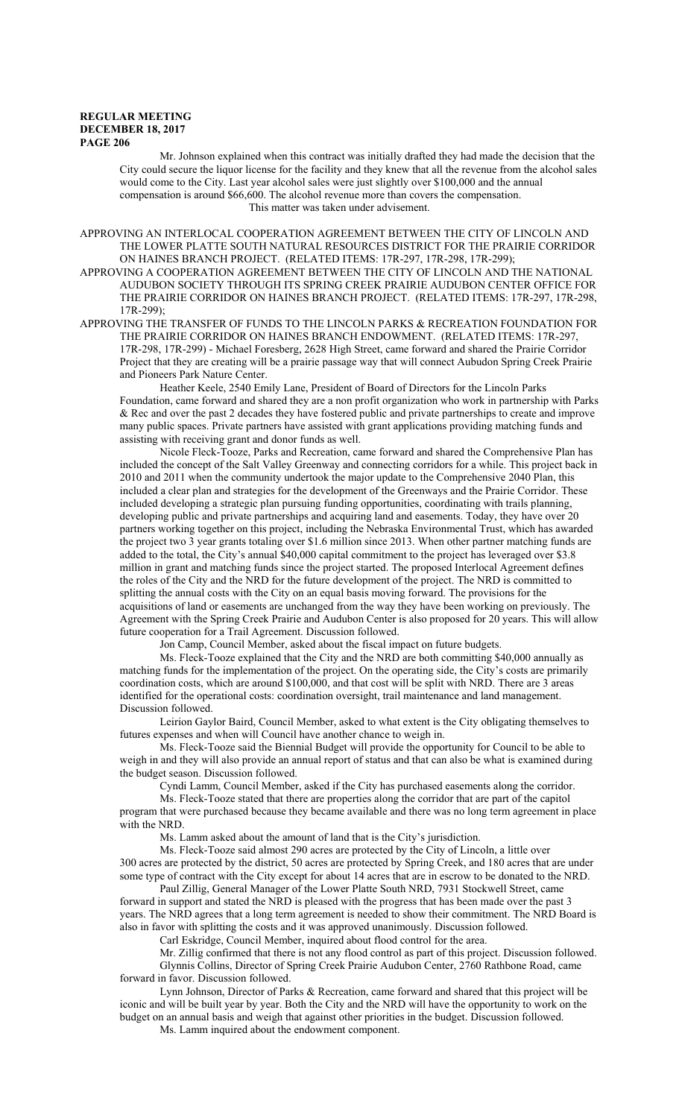Mr. Johnson explained when this contract was initially drafted they had made the decision that the City could secure the liquor license for the facility and they knew that all the revenue from the alcohol sales would come to the City. Last year alcohol sales were just slightly over \$100,000 and the annual compensation is around \$66,600. The alcohol revenue more than covers the compensation. This matter was taken under advisement.

APPROVING AN INTERLOCAL COOPERATION AGREEMENT BETWEEN THE CITY OF LINCOLN AND THE LOWER PLATTE SOUTH NATURAL RESOURCES DISTRICT FOR THE PRAIRIE CORRIDOR ON HAINES BRANCH PROJECT. (RELATED ITEMS: 17R-297, 17R-298, 17R-299);

APPROVING A COOPERATION AGREEMENT BETWEEN THE CITY OF LINCOLN AND THE NATIONAL AUDUBON SOCIETY THROUGH ITS SPRING CREEK PRAIRIE AUDUBON CENTER OFFICE FOR THE PRAIRIE CORRIDOR ON HAINES BRANCH PROJECT. (RELATED ITEMS: 17R-297, 17R-298, 17R-299);

APPROVING THE TRANSFER OF FUNDS TO THE LINCOLN PARKS & RECREATION FOUNDATION FOR THE PRAIRIE CORRIDOR ON HAINES BRANCH ENDOWMENT. (RELATED ITEMS: 17R-297, 17R-298, 17R-299) - Michael Foresberg, 2628 High Street, came forward and shared the Prairie Corridor Project that they are creating will be a prairie passage way that will connect Aubudon Spring Creek Prairie and Pioneers Park Nature Center.

Heather Keele, 2540 Emily Lane, President of Board of Directors for the Lincoln Parks Foundation, came forward and shared they are a non profit organization who work in partnership with Parks & Rec and over the past 2 decades they have fostered public and private partnerships to create and improve many public spaces. Private partners have assisted with grant applications providing matching funds and assisting with receiving grant and donor funds as well.

Nicole Fleck-Tooze, Parks and Recreation, came forward and shared the Comprehensive Plan has included the concept of the Salt Valley Greenway and connecting corridors for a while. This project back in 2010 and 2011 when the community undertook the major update to the Comprehensive 2040 Plan, this included a clear plan and strategies for the development of the Greenways and the Prairie Corridor. These included developing a strategic plan pursuing funding opportunities, coordinating with trails planning, developing public and private partnerships and acquiring land and easements. Today, they have over 20 partners working together on this project, including the Nebraska Environmental Trust, which has awarded the project two 3 year grants totaling over \$1.6 million since 2013. When other partner matching funds are added to the total, the City's annual \$40,000 capital commitment to the project has leveraged over \$3.8 million in grant and matching funds since the project started. The proposed Interlocal Agreement defines the roles of the City and the NRD for the future development of the project. The NRD is committed to splitting the annual costs with the City on an equal basis moving forward. The provisions for the acquisitions of land or easements are unchanged from the way they have been working on previously. The Agreement with the Spring Creek Prairie and Audubon Center is also proposed for 20 years. This will allow future cooperation for a Trail Agreement. Discussion followed.

Jon Camp, Council Member, asked about the fiscal impact on future budgets.

Ms. Fleck-Tooze explained that the City and the NRD are both committing \$40,000 annually as matching funds for the implementation of the project. On the operating side, the City's costs are primarily coordination costs, which are around \$100,000, and that cost will be split with NRD. There are 3 areas identified for the operational costs: coordination oversight, trail maintenance and land management. Discussion followed.

Leirion Gaylor Baird, Council Member, asked to what extent is the City obligating themselves to futures expenses and when will Council have another chance to weigh in.

Ms. Fleck-Tooze said the Biennial Budget will provide the opportunity for Council to be able to weigh in and they will also provide an annual report of status and that can also be what is examined during the budget season. Discussion followed.

Cyndi Lamm, Council Member, asked if the City has purchased easements along the corridor. Ms. Fleck-Tooze stated that there are properties along the corridor that are part of the capitol

program that were purchased because they became available and there was no long term agreement in place with the NRD.

Ms. Lamm asked about the amount of land that is the City's jurisdiction.

Ms. Fleck-Tooze said almost 290 acres are protected by the City of Lincoln, a little over 300 acres are protected by the district, 50 acres are protected by Spring Creek, and 180 acres that are under some type of contract with the City except for about 14 acres that are in escrow to be donated to the NRD.

Paul Zillig, General Manager of the Lower Platte South NRD, 7931 Stockwell Street, came forward in support and stated the NRD is pleased with the progress that has been made over the past 3 years. The NRD agrees that a long term agreement is needed to show their commitment. The NRD Board is also in favor with splitting the costs and it was approved unanimously. Discussion followed.

Carl Eskridge, Council Member, inquired about flood control for the area.

Mr. Zillig confirmed that there is not any flood control as part of this project. Discussion followed. Glynnis Collins, Director of Spring Creek Prairie Audubon Center, 2760 Rathbone Road, came forward in favor. Discussion followed.

Lynn Johnson, Director of Parks & Recreation, came forward and shared that this project will be iconic and will be built year by year. Both the City and the NRD will have the opportunity to work on the budget on an annual basis and weigh that against other priorities in the budget. Discussion followed.

Ms. Lamm inquired about the endowment component.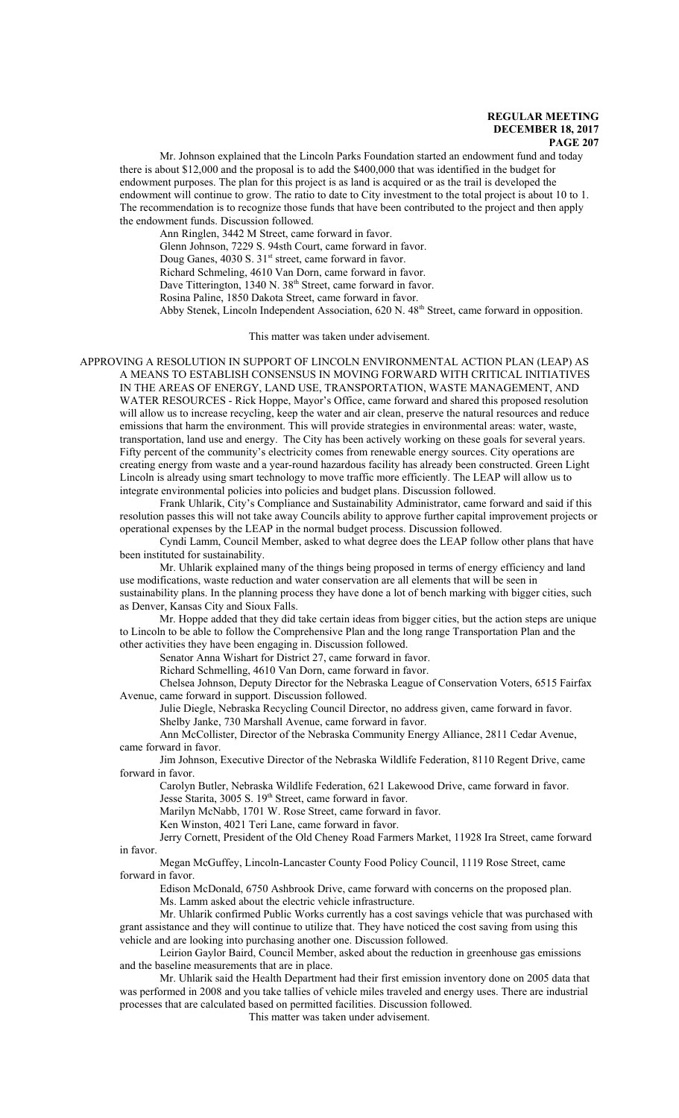Mr. Johnson explained that the Lincoln Parks Foundation started an endowment fund and today there is about \$12,000 and the proposal is to add the \$400,000 that was identified in the budget for endowment purposes. The plan for this project is as land is acquired or as the trail is developed the endowment will continue to grow. The ratio to date to City investment to the total project is about 10 to 1. The recommendation is to recognize those funds that have been contributed to the project and then apply the endowment funds. Discussion followed.

Ann Ringlen, 3442 M Street, came forward in favor.

Glenn Johnson, 7229 S. 94sth Court, came forward in favor.

Doug Ganes, 4030 S. 31<sup>st</sup> street, came forward in favor. Richard Schmeling, 4610 Van Dorn, came forward in favor.

Dave Titterington, 1340 N. 38<sup>th</sup> Street, came forward in favor.

Rosina Paline, 1850 Dakota Street, came forward in favor.

Abby Stenek, Lincoln Independent Association, 620 N. 48<sup>th</sup> Street, came forward in opposition.

This matter was taken under advisement.

APPROVING A RESOLUTION IN SUPPORT OF LINCOLN ENVIRONMENTAL ACTION PLAN (LEAP) AS A MEANS TO ESTABLISH CONSENSUS IN MOVING FORWARD WITH CRITICAL INITIATIVES IN THE AREAS OF ENERGY, LAND USE, TRANSPORTATION, WASTE MANAGEMENT, AND WATER RESOURCES - Rick Hoppe, Mayor's Office, came forward and shared this proposed resolution will allow us to increase recycling, keep the water and air clean, preserve the natural resources and reduce emissions that harm the environment. This will provide strategies in environmental areas: water, waste, transportation, land use and energy. The City has been actively working on these goals for several years. Fifty percent of the community's electricity comes from renewable energy sources. City operations are creating energy from waste and a year-round hazardous facility has already been constructed. Green Light Lincoln is already using smart technology to move traffic more efficiently. The LEAP will allow us to integrate environmental policies into policies and budget plans. Discussion followed.

Frank Uhlarik, City's Compliance and Sustainability Administrator, came forward and said if this resolution passes this will not take away Councils ability to approve further capital improvement projects or operational expenses by the LEAP in the normal budget process. Discussion followed.

Cyndi Lamm, Council Member, asked to what degree does the LEAP follow other plans that have been instituted for sustainability.

Mr. Uhlarik explained many of the things being proposed in terms of energy efficiency and land use modifications, waste reduction and water conservation are all elements that will be seen in sustainability plans. In the planning process they have done a lot of bench marking with bigger cities, such as Denver, Kansas City and Sioux Falls.

 Mr. Hoppe added that they did take certain ideas from bigger cities, but the action steps are unique to Lincoln to be able to follow the Comprehensive Plan and the long range Transportation Plan and the other activities they have been engaging in. Discussion followed.

Senator Anna Wishart for District 27, came forward in favor.

Richard Schmelling, 4610 Van Dorn, came forward in favor.

Chelsea Johnson, Deputy Director for the Nebraska League of Conservation Voters, 6515 Fairfax Avenue, came forward in support. Discussion followed.

Julie Diegle, Nebraska Recycling Council Director, no address given, came forward in favor. Shelby Janke, 730 Marshall Avenue, came forward in favor.

Ann McCollister, Director of the Nebraska Community Energy Alliance, 2811 Cedar Avenue, came forward in favor.

Jim Johnson, Executive Director of the Nebraska Wildlife Federation, 8110 Regent Drive, came forward in favor.

Carolyn Butler, Nebraska Wildlife Federation, 621 Lakewood Drive, came forward in favor.

Jesse Starita, 3005 S. 19<sup>th</sup> Street, came forward in favor. Marilyn McNabb, 1701 W. Rose Street, came forward in favor.

Ken Winston, 4021 Teri Lane, came forward in favor.

Jerry Cornett, President of the Old Cheney Road Farmers Market, 11928 Ira Street, came forward in favor.

Megan McGuffey, Lincoln-Lancaster County Food Policy Council, 1119 Rose Street, came forward in favor.

Edison McDonald, 6750 Ashbrook Drive, came forward with concerns on the proposed plan. Ms. Lamm asked about the electric vehicle infrastructure.

Mr. Uhlarik confirmed Public Works currently has a cost savings vehicle that was purchased with grant assistance and they will continue to utilize that. They have noticed the cost saving from using this vehicle and are looking into purchasing another one. Discussion followed.

Leirion Gaylor Baird, Council Member, asked about the reduction in greenhouse gas emissions and the baseline measurements that are in place.

Mr. Uhlarik said the Health Department had their first emission inventory done on 2005 data that was performed in 2008 and you take tallies of vehicle miles traveled and energy uses. There are industrial processes that are calculated based on permitted facilities. Discussion followed.

This matter was taken under advisement.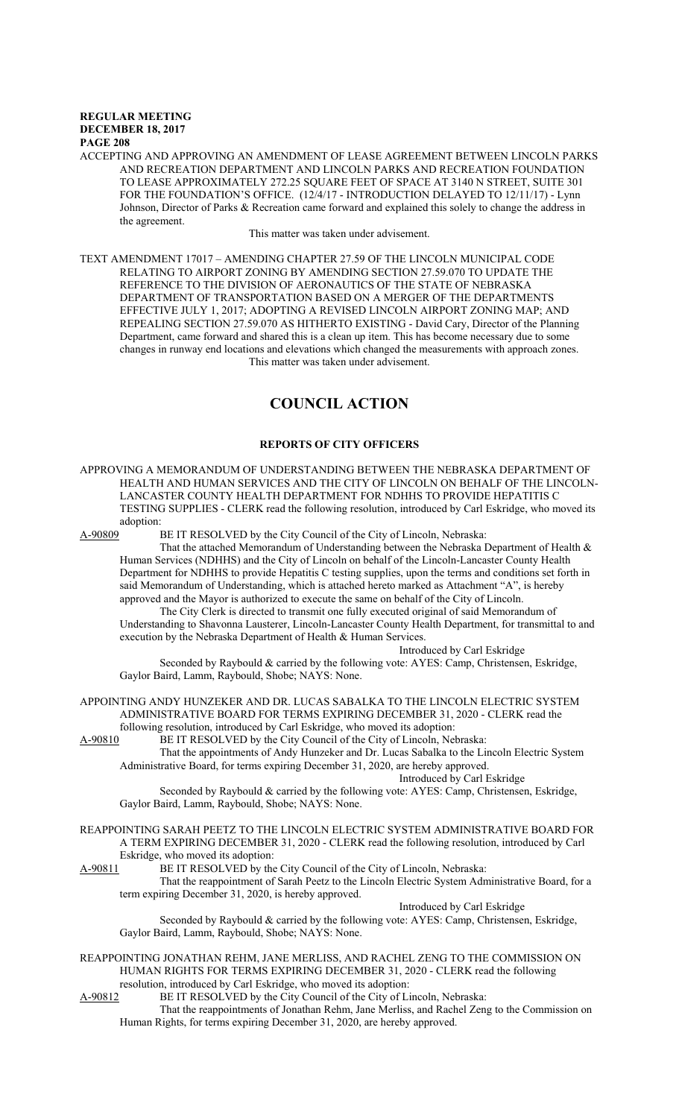ACCEPTING AND APPROVING AN AMENDMENT OF LEASE AGREEMENT BETWEEN LINCOLN PARKS AND RECREATION DEPARTMENT AND LINCOLN PARKS AND RECREATION FOUNDATION TO LEASE APPROXIMATELY 272.25 SQUARE FEET OF SPACE AT 3140 N STREET, SUITE 301 FOR THE FOUNDATION'S OFFICE. (12/4/17 - INTRODUCTION DELAYED TO 12/11/17) - Lynn Johnson, Director of Parks & Recreation came forward and explained this solely to change the address in the agreement.

This matter was taken under advisement.

TEXT AMENDMENT 17017 – AMENDING CHAPTER 27.59 OF THE LINCOLN MUNICIPAL CODE RELATING TO AIRPORT ZONING BY AMENDING SECTION 27.59.070 TO UPDATE THE REFERENCE TO THE DIVISION OF AERONAUTICS OF THE STATE OF NEBRASKA DEPARTMENT OF TRANSPORTATION BASED ON A MERGER OF THE DEPARTMENTS EFFECTIVE JULY 1, 2017; ADOPTING A REVISED LINCOLN AIRPORT ZONING MAP; AND REPEALING SECTION 27.59.070 AS HITHERTO EXISTING - David Cary, Director of the Planning Department, came forward and shared this is a clean up item. This has become necessary due to some changes in runway end locations and elevations which changed the measurements with approach zones. This matter was taken under advisement.

# **COUNCIL ACTION**

# **REPORTS OF CITY OFFICERS**

APPROVING A MEMORANDUM OF UNDERSTANDING BETWEEN THE NEBRASKA DEPARTMENT OF HEALTH AND HUMAN SERVICES AND THE CITY OF LINCOLN ON BEHALF OF THE LINCOLN-LANCASTER COUNTY HEALTH DEPARTMENT FOR NDHHS TO PROVIDE HEPATITIS C TESTING SUPPLIES - CLERK read the following resolution, introduced by Carl Eskridge, who moved its adoption:<br>A-90809

BE IT RESOLVED by the City Council of the City of Lincoln, Nebraska:

That the attached Memorandum of Understanding between the Nebraska Department of Health  $\&$ Human Services (NDHHS) and the City of Lincoln on behalf of the Lincoln-Lancaster County Health Department for NDHHS to provide Hepatitis C testing supplies, upon the terms and conditions set forth in said Memorandum of Understanding, which is attached hereto marked as Attachment "A", is hereby approved and the Mayor is authorized to execute the same on behalf of the City of Lincoln.

The City Clerk is directed to transmit one fully executed original of said Memorandum of Understanding to Shavonna Lausterer, Lincoln-Lancaster County Health Department, for transmittal to and execution by the Nebraska Department of Health & Human Services.

Introduced by Carl Eskridge

Seconded by Raybould & carried by the following vote: AYES: Camp, Christensen, Eskridge, Gaylor Baird, Lamm, Raybould, Shobe; NAYS: None.

APPOINTING ANDY HUNZEKER AND DR. LUCAS SABALKA TO THE LINCOLN ELECTRIC SYSTEM ADMINISTRATIVE BOARD FOR TERMS EXPIRING DECEMBER 31, 2020 - CLERK read the

following resolution, introduced by Carl Eskridge, who moved its adoption:<br>A-90810 BE IT RESOLVED by the City Council of the City of Lincoln, Net BE IT RESOLVED by the City Council of the City of Lincoln, Nebraska:

That the appointments of Andy Hunzeker and Dr. Lucas Sabalka to the Lincoln Electric System Administrative Board, for terms expiring December 31, 2020, are hereby approved.

Introduced by Carl Eskridge

Seconded by Raybould & carried by the following vote: AYES: Camp, Christensen, Eskridge, Gaylor Baird, Lamm, Raybould, Shobe; NAYS: None.

### REAPPOINTING SARAH PEETZ TO THE LINCOLN ELECTRIC SYSTEM ADMINISTRATIVE BOARD FOR A TERM EXPIRING DECEMBER 31, 2020 - CLERK read the following resolution, introduced by Carl Eskridge, who moved its adoption:

A-90811 BE IT RESOLVED by the City Council of the City of Lincoln, Nebraska:

That the reappointment of Sarah Peetz to the Lincoln Electric System Administrative Board, for a term expiring December 31, 2020, is hereby approved.

Introduced by Carl Eskridge

Seconded by Raybould & carried by the following vote: AYES: Camp, Christensen, Eskridge, Gaylor Baird, Lamm, Raybould, Shobe; NAYS: None.

REAPPOINTING JONATHAN REHM, JANE MERLISS, AND RACHEL ZENG TO THE COMMISSION ON HUMAN RIGHTS FOR TERMS EXPIRING DECEMBER 31, 2020 - CLERK read the following resolution, introduced by Carl Eskridge, who moved its adoption:

A-90812 BE IT RESOLVED by the City Council of the City of Lincoln, Nebraska:

That the reappointments of Jonathan Rehm, Jane Merliss, and Rachel Zeng to the Commission on Human Rights, for terms expiring December 31, 2020, are hereby approved.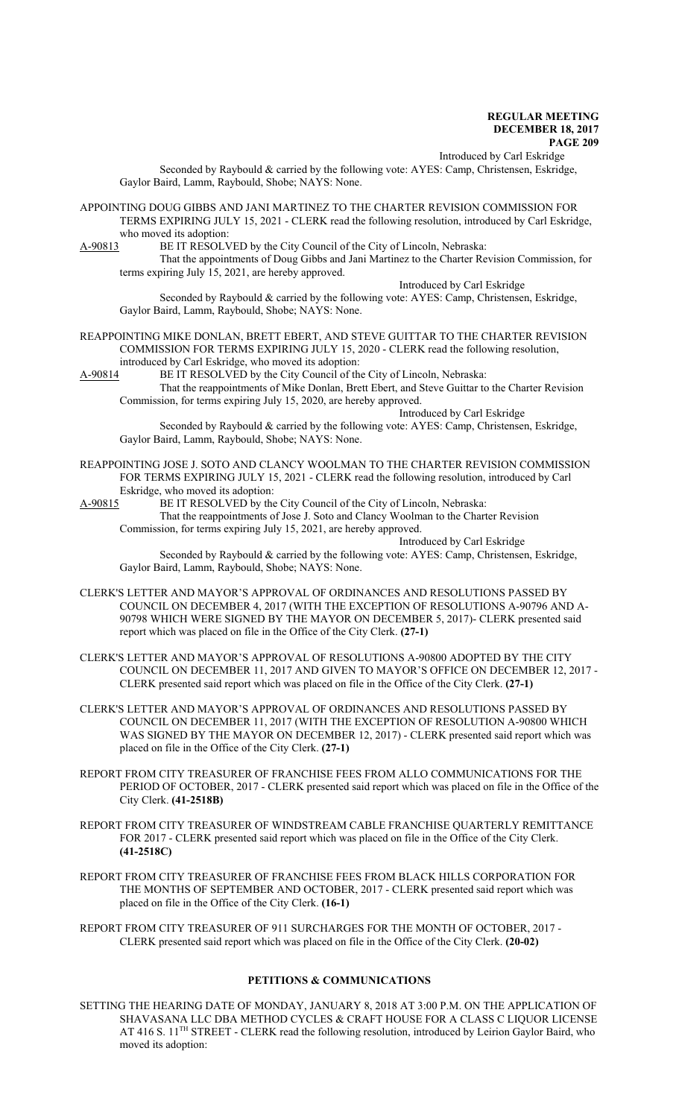Introduced by Carl Eskridge

Seconded by Raybould & carried by the following vote: AYES: Camp, Christensen, Eskridge, Gaylor Baird, Lamm, Raybould, Shobe; NAYS: None.

APPOINTING DOUG GIBBS AND JANI MARTINEZ TO THE CHARTER REVISION COMMISSION FOR TERMS EXPIRING JULY 15, 2021 - CLERK read the following resolution, introduced by Carl Eskridge, who moved its adoption:

A-90813 BE IT RESOLVED by the City Council of the City of Lincoln, Nebraska:

That the appointments of Doug Gibbs and Jani Martinez to the Charter Revision Commission, for terms expiring July 15, 2021, are hereby approved.

Introduced by Carl Eskridge Seconded by Raybould & carried by the following vote: AYES: Camp, Christensen, Eskridge, Gaylor Baird, Lamm, Raybould, Shobe; NAYS: None.

REAPPOINTING MIKE DONLAN, BRETT EBERT, AND STEVE GUITTAR TO THE CHARTER REVISION COMMISSION FOR TERMS EXPIRING JULY 15, 2020 - CLERK read the following resolution,

introduced by Carl Eskridge, who moved its adoption:<br>A-90814 BE IT RESOLVED by the City Council of the BE IT RESOLVED by the City Council of the City of Lincoln, Nebraska:

That the reappointments of Mike Donlan, Brett Ebert, and Steve Guittar to the Charter Revision Commission, for terms expiring July 15, 2020, are hereby approved. Introduced by Carl Eskridge

Seconded by Raybould & carried by the following vote: AYES: Camp, Christensen, Eskridge, Gaylor Baird, Lamm, Raybould, Shobe; NAYS: None.

REAPPOINTING JOSE J. SOTO AND CLANCY WOOLMAN TO THE CHARTER REVISION COMMISSION FOR TERMS EXPIRING JULY 15, 2021 - CLERK read the following resolution, introduced by Carl Eskridge, who moved its adoption:

A-90815 BE IT RESOLVED by the City Council of the City of Lincoln, Nebraska: That the reappointments of Jose J. Soto and Clancy Woolman to the Charter Revision

Commission, for terms expiring July 15, 2021, are hereby approved. Introduced by Carl Eskridge

Seconded by Raybould & carried by the following vote: AYES: Camp, Christensen, Eskridge, Gaylor Baird, Lamm, Raybould, Shobe; NAYS: None.

CLERK'S LETTER AND MAYOR'S APPROVAL OF ORDINANCES AND RESOLUTIONS PASSED BY COUNCIL ON DECEMBER 4, 2017 (WITH THE EXCEPTION OF RESOLUTIONS A-90796 AND A-90798 WHICH WERE SIGNED BY THE MAYOR ON DECEMBER 5, 2017)- CLERK presented said report which was placed on file in the Office of the City Clerk. **(27-1)**

CLERK'S LETTER AND MAYOR'S APPROVAL OF RESOLUTIONS A-90800 ADOPTED BY THE CITY COUNCIL ON DECEMBER 11, 2017 AND GIVEN TO MAYOR'S OFFICE ON DECEMBER 12, 2017 - CLERK presented said report which was placed on file in the Office of the City Clerk. **(27-1)**

- CLERK'S LETTER AND MAYOR'S APPROVAL OF ORDINANCES AND RESOLUTIONS PASSED BY COUNCIL ON DECEMBER 11, 2017 (WITH THE EXCEPTION OF RESOLUTION A-90800 WHICH WAS SIGNED BY THE MAYOR ON DECEMBER 12, 2017) - CLERK presented said report which was placed on file in the Office of the City Clerk. **(27-1)**
- REPORT FROM CITY TREASURER OF FRANCHISE FEES FROM ALLO COMMUNICATIONS FOR THE PERIOD OF OCTOBER, 2017 - CLERK presented said report which was placed on file in the Office of the City Clerk. **(41-2518B)**
- REPORT FROM CITY TREASURER OF WINDSTREAM CABLE FRANCHISE QUARTERLY REMITTANCE FOR 2017 - CLERK presented said report which was placed on file in the Office of the City Clerk. **(41-2518C)**
- REPORT FROM CITY TREASURER OF FRANCHISE FEES FROM BLACK HILLS CORPORATION FOR THE MONTHS OF SEPTEMBER AND OCTOBER, 2017 - CLERK presented said report which was placed on file in the Office of the City Clerk. **(16-1)**
- REPORT FROM CITY TREASURER OF 911 SURCHARGES FOR THE MONTH OF OCTOBER, 2017 CLERK presented said report which was placed on file in the Office of the City Clerk. **(20-02)**

## **PETITIONS & COMMUNICATIONS**

SETTING THE HEARING DATE OF MONDAY, JANUARY 8, 2018 AT 3:00 P.M. ON THE APPLICATION OF SHAVASANA LLC DBA METHOD CYCLES & CRAFT HOUSE FOR A CLASS C LIQUOR LICENSE AT 416 S.  $11<sup>TH</sup>$  STREET - CLERK read the following resolution, introduced by Leirion Gaylor Baird, who moved its adoption: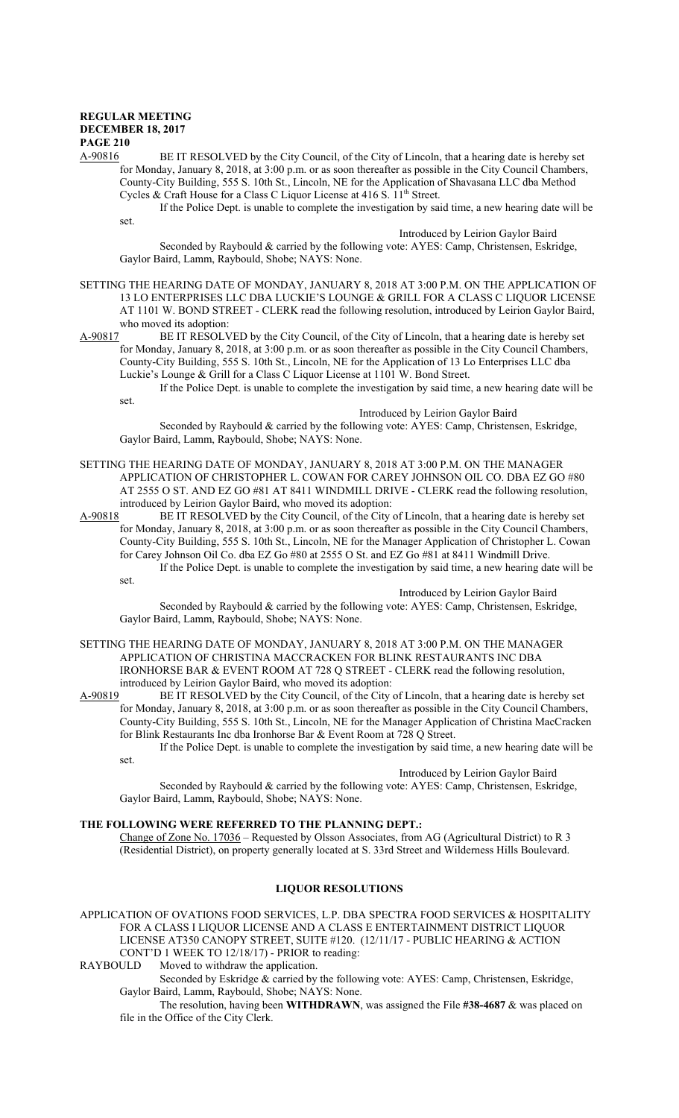A-90816 BE IT RESOLVED by the City Council, of the City of Lincoln, that a hearing date is hereby set for Monday, January 8, 2018, at 3:00 p.m. or as soon thereafter as possible in the City Council Chambers, County-City Building, 555 S. 10th St., Lincoln, NE for the Application of Shavasana LLC dba Method Cycles & Craft House for a Class C Liquor License at 416 S. 11<sup>th</sup> Street.

If the Police Dept. is unable to complete the investigation by said time, a new hearing date will be set.

Introduced by Leirion Gaylor Baird

Seconded by Raybould & carried by the following vote: AYES: Camp, Christensen, Eskridge, Gaylor Baird, Lamm, Raybould, Shobe; NAYS: None.

SETTING THE HEARING DATE OF MONDAY, JANUARY 8, 2018 AT 3:00 P.M. ON THE APPLICATION OF 13 LO ENTERPRISES LLC DBA LUCKIE'S LOUNGE & GRILL FOR A CLASS C LIQUOR LICENSE AT 1101 W. BOND STREET - CLERK read the following resolution, introduced by Leirion Gaylor Baird, who moved its adoption:

A-90817 BE IT RESOLVED by the City Council, of the City of Lincoln, that a hearing date is hereby set for Monday, January 8, 2018, at 3:00 p.m. or as soon thereafter as possible in the City Council Chambers, County-City Building, 555 S. 10th St., Lincoln, NE for the Application of 13 Lo Enterprises LLC dba Luckie's Lounge & Grill for a Class C Liquor License at 1101 W. Bond Street.

If the Police Dept. is unable to complete the investigation by said time, a new hearing date will be

set.

#### Introduced by Leirion Gaylor Baird

Seconded by Raybould & carried by the following vote: AYES: Camp, Christensen, Eskridge, Gaylor Baird, Lamm, Raybould, Shobe; NAYS: None.

SETTING THE HEARING DATE OF MONDAY, JANUARY 8, 2018 AT 3:00 P.M. ON THE MANAGER APPLICATION OF CHRISTOPHER L. COWAN FOR CAREY JOHNSON OIL CO. DBA EZ GO #80 AT 2555 O ST. AND EZ GO #81 AT 8411 WINDMILL DRIVE - CLERK read the following resolution, introduced by Leirion Gaylor Baird, who moved its adoption:

A-90818 BE IT RESOLVED by the City Council, of the City of Lincoln, that a hearing date is hereby set for Monday, January 8, 2018, at 3:00 p.m. or as soon thereafter as possible in the City Council Chambers, County-City Building, 555 S. 10th St., Lincoln, NE for the Manager Application of Christopher L. Cowan for Carey Johnson Oil Co. dba EZ Go #80 at 2555 O St. and EZ Go #81 at 8411 Windmill Drive. If the Police Dept. is unable to complete the investigation by said time, a new hearing date will be

set.

Introduced by Leirion Gaylor Baird Seconded by Raybould & carried by the following vote: AYES: Camp, Christensen, Eskridge, Gaylor Baird, Lamm, Raybould, Shobe; NAYS: None.

- SETTING THE HEARING DATE OF MONDAY, JANUARY 8, 2018 AT 3:00 P.M. ON THE MANAGER APPLICATION OF CHRISTINA MACCRACKEN FOR BLINK RESTAURANTS INC DBA IRONHORSE BAR & EVENT ROOM AT 728 Q STREET - CLERK read the following resolution, introduced by Leirion Gaylor Baird, who moved its adoption:
- A-90819 BE IT RESOLVED by the City Council, of the City of Lincoln, that a hearing date is hereby set for Monday, January 8, 2018, at 3:00 p.m. or as soon thereafter as possible in the City Council Chambers, County-City Building, 555 S. 10th St., Lincoln, NE for the Manager Application of Christina MacCracken for Blink Restaurants Inc dba Ironhorse Bar & Event Room at 728 Q Street.

If the Police Dept. is unable to complete the investigation by said time, a new hearing date will be set.

Introduced by Leirion Gaylor Baird Seconded by Raybould & carried by the following vote: AYES: Camp, Christensen, Eskridge, Gaylor Baird, Lamm, Raybould, Shobe; NAYS: None.

## **THE FOLLOWING WERE REFERRED TO THE PLANNING DEPT.:**

Change of Zone No. 17036 – Requested by Olsson Associates, from AG (Agricultural District) to R 3 (Residential District), on property generally located at S. 33rd Street and Wilderness Hills Boulevard.

# **LIQUOR RESOLUTIONS**

APPLICATION OF OVATIONS FOOD SERVICES, L.P. DBA SPECTRA FOOD SERVICES & HOSPITALITY FOR A CLASS I LIQUOR LICENSE AND A CLASS E ENTERTAINMENT DISTRICT LIQUOR LICENSE AT350 CANOPY STREET, SUITE #120. (12/11/17 - PUBLIC HEARING & ACTION CONT'D 1 WEEK TO 12/18/17) - PRIOR to reading:

RAYBOULD Moved to withdraw the application.

Seconded by Eskridge & carried by the following vote: AYES: Camp, Christensen, Eskridge, Gaylor Baird, Lamm, Raybould, Shobe; NAYS: None.

The resolution, having been **WITHDRAWN**, was assigned the File **#38-4687** & was placed on file in the Office of the City Clerk.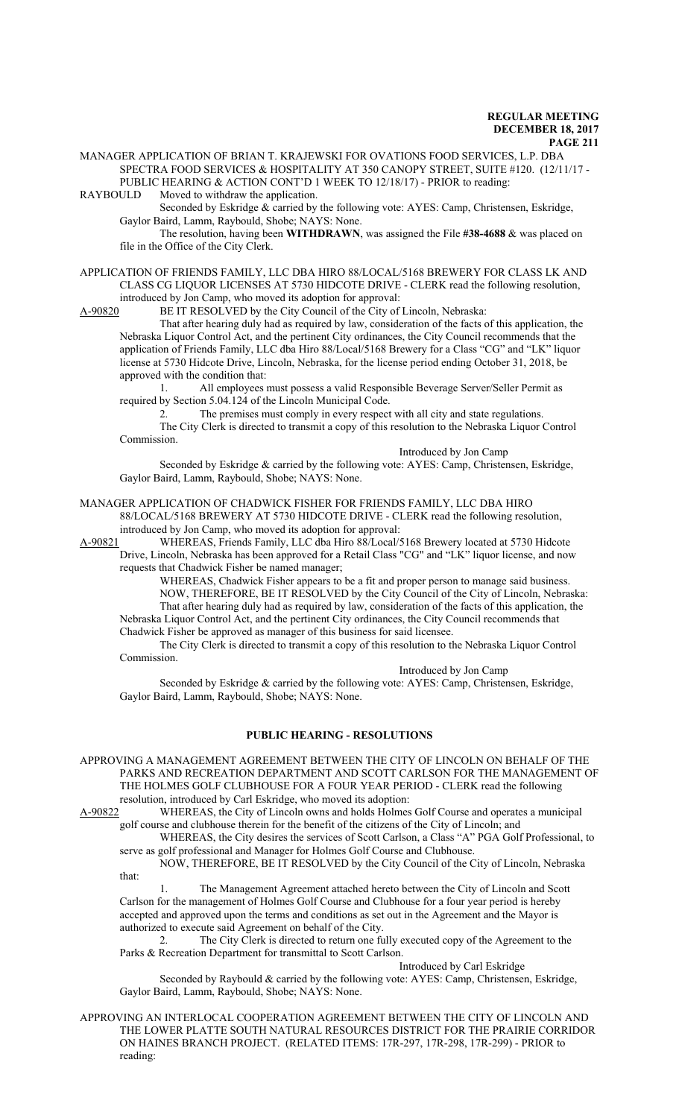MANAGER APPLICATION OF BRIAN T. KRAJEWSKI FOR OVATIONS FOOD SERVICES, L.P. DBA SPECTRA FOOD SERVICES & HOSPITALITY AT 350 CANOPY STREET, SUITE #120. (12/11/17 - PUBLIC HEARING & ACTION CONT'D 1 WEEK TO 12/18/17) - PRIOR to reading:<br>RAYBOULD Moved to withdraw the application.

Moved to withdraw the application.

Seconded by Eskridge & carried by the following vote: AYES: Camp, Christensen, Eskridge, Gaylor Baird, Lamm, Raybould, Shobe; NAYS: None.

The resolution, having been **WITHDRAWN**, was assigned the File **#38-4688** & was placed on file in the Office of the City Clerk.

#### APPLICATION OF FRIENDS FAMILY, LLC DBA HIRO 88/LOCAL/5168 BREWERY FOR CLASS LK AND CLASS CG LIQUOR LICENSES AT 5730 HIDCOTE DRIVE - CLERK read the following resolution, introduced by Jon Camp, who moved its adoption for approval:

A-90820 BE IT RESOLVED by the City Council of the City of Lincoln, Nebraska:

That after hearing duly had as required by law, consideration of the facts of this application, the Nebraska Liquor Control Act, and the pertinent City ordinances, the City Council recommends that the application of Friends Family, LLC dba Hiro 88/Local/5168 Brewery for a Class "CG" and "LK" liquor license at 5730 Hidcote Drive, Lincoln, Nebraska, for the license period ending October 31, 2018, be approved with the condition that:

1. All employees must possess a valid Responsible Beverage Server/Seller Permit as required by Section 5.04.124 of the Lincoln Municipal Code.

2. The premises must comply in every respect with all city and state regulations. The City Clerk is directed to transmit a copy of this resolution to the Nebraska Liquor Control

Commission.

Introduced by Jon Camp

Seconded by Eskridge & carried by the following vote: AYES: Camp, Christensen, Eskridge, Gaylor Baird, Lamm, Raybould, Shobe; NAYS: None.

# MANAGER APPLICATION OF CHADWICK FISHER FOR FRIENDS FAMILY, LLC DBA HIRO 88/LOCAL/5168 BREWERY AT 5730 HIDCOTE DRIVE - CLERK read the following resolution,

introduced by Jon Camp, who moved its adoption for approval:

A-90821 WHEREAS, Friends Family, LLC dba Hiro 88/Local/5168 Brewery located at 5730 Hidcote Drive, Lincoln, Nebraska has been approved for a Retail Class "CG" and "LK" liquor license, and now requests that Chadwick Fisher be named manager;

WHEREAS, Chadwick Fisher appears to be a fit and proper person to manage said business. NOW, THEREFORE, BE IT RESOLVED by the City Council of the City of Lincoln, Nebraska: That after hearing duly had as required by law, consideration of the facts of this application, the Nebraska Liquor Control Act, and the pertinent City ordinances, the City Council recommends that Chadwick Fisher be approved as manager of this business for said licensee.

The City Clerk is directed to transmit a copy of this resolution to the Nebraska Liquor Control Commission.

Introduced by Jon Camp

Seconded by Eskridge & carried by the following vote: AYES: Camp, Christensen, Eskridge, Gaylor Baird, Lamm, Raybould, Shobe; NAYS: None.

# **PUBLIC HEARING - RESOLUTIONS**

APPROVING A MANAGEMENT AGREEMENT BETWEEN THE CITY OF LINCOLN ON BEHALF OF THE PARKS AND RECREATION DEPARTMENT AND SCOTT CARLSON FOR THE MANAGEMENT OF THE HOLMES GOLF CLUBHOUSE FOR A FOUR YEAR PERIOD - CLERK read the following resolution, introduced by Carl Eskridge, who moved its adoption:

A-90822 WHEREAS, the City of Lincoln owns and holds Holmes Golf Course and operates a municipal golf course and clubhouse therein for the benefit of the citizens of the City of Lincoln; and

WHEREAS, the City desires the services of Scott Carlson, a Class "A" PGA Golf Professional, to serve as golf professional and Manager for Holmes Golf Course and Clubhouse.

NOW, THEREFORE, BE IT RESOLVED by the City Council of the City of Lincoln, Nebraska that:

The Management Agreement attached hereto between the City of Lincoln and Scott Carlson for the management of Holmes Golf Course and Clubhouse for a four year period is hereby accepted and approved upon the terms and conditions as set out in the Agreement and the Mayor is authorized to execute said Agreement on behalf of the City.

2. The City Clerk is directed to return one fully executed copy of the Agreement to the Parks & Recreation Department for transmittal to Scott Carlson.

Introduced by Carl Eskridge

Seconded by Raybould & carried by the following vote: AYES: Camp, Christensen, Eskridge, Gaylor Baird, Lamm, Raybould, Shobe; NAYS: None.

APPROVING AN INTERLOCAL COOPERATION AGREEMENT BETWEEN THE CITY OF LINCOLN AND THE LOWER PLATTE SOUTH NATURAL RESOURCES DISTRICT FOR THE PRAIRIE CORRIDOR ON HAINES BRANCH PROJECT. (RELATED ITEMS: 17R-297, 17R-298, 17R-299) - PRIOR to reading: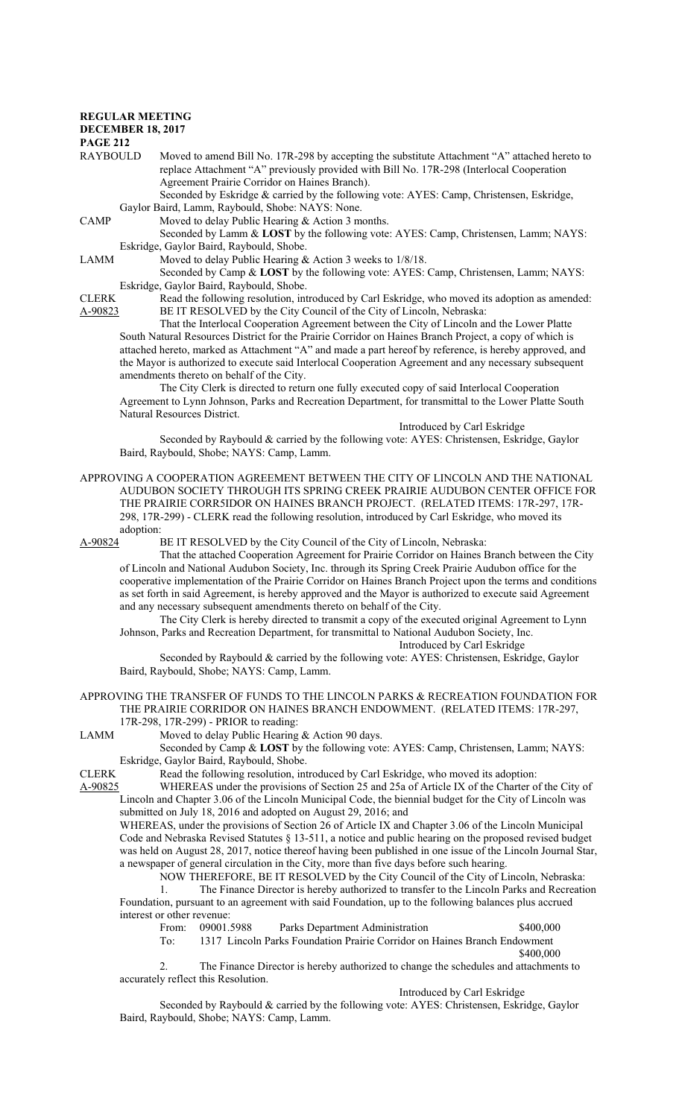#### **REGULAR MEETING DECEMBER 18, 2017**

**PAGE 212**

- 
- RAYBOULD Moved to amend Bill No. 17R-298 by accepting the substitute Attachment "A" attached hereto to replace Attachment "A" previously provided with Bill No. 17R-298 (Interlocal Cooperation Agreement Prairie Corridor on Haines Branch).

Seconded by Eskridge & carried by the following vote: AYES: Camp, Christensen, Eskridge, Gaylor Baird, Lamm, Raybould, Shobe: NAYS: None.

CAMP Moved to delay Public Hearing & Action 3 months.

Seconded by Lamm & **LOST** by the following vote: AYES: Camp, Christensen, Lamm; NAYS: Eskridge, Gaylor Baird, Raybould, Shobe.

LAMM Moved to delay Public Hearing & Action 3 weeks to 1/8/18.

Seconded by Camp & **LOST** by the following vote: AYES: Camp, Christensen, Lamm; NAYS: Eskridge, Gaylor Baird, Raybould, Shobe.

CLERK Read the following resolution, introduced by Carl Eskridge, who moved its adoption as amended: A-90823 BE IT RESOLVED by the City Council of the City of Lincoln, Nebraska:

That the Interlocal Cooperation Agreement between the City of Lincoln and the Lower Platte South Natural Resources District for the Prairie Corridor on Haines Branch Project, a copy of which is attached hereto, marked as Attachment "A" and made a part hereof by reference, is hereby approved, and the Mayor is authorized to execute said Interlocal Cooperation Agreement and any necessary subsequent amendments thereto on behalf of the City.

The City Clerk is directed to return one fully executed copy of said Interlocal Cooperation Agreement to Lynn Johnson, Parks and Recreation Department, for transmittal to the Lower Platte South Natural Resources District.

Introduced by Carl Eskridge

Seconded by Raybould & carried by the following vote: AYES: Christensen, Eskridge, Gaylor Baird, Raybould, Shobe; NAYS: Camp, Lamm.

APPROVING A COOPERATION AGREEMENT BETWEEN THE CITY OF LINCOLN AND THE NATIONAL AUDUBON SOCIETY THROUGH ITS SPRING CREEK PRAIRIE AUDUBON CENTER OFFICE FOR THE PRAIRIE CORR5IDOR ON HAINES BRANCH PROJECT. (RELATED ITEMS: 17R-297, 17R-298, 17R-299) - CLERK read the following resolution, introduced by Carl Eskridge, who moved its adoption:<br>A-90824 I

BE IT RESOLVED by the City Council of the City of Lincoln, Nebraska:

That the attached Cooperation Agreement for Prairie Corridor on Haines Branch between the City of Lincoln and National Audubon Society, Inc. through its Spring Creek Prairie Audubon office for the cooperative implementation of the Prairie Corridor on Haines Branch Project upon the terms and conditions as set forth in said Agreement, is hereby approved and the Mayor is authorized to execute said Agreement and any necessary subsequent amendments thereto on behalf of the City.

The City Clerk is hereby directed to transmit a copy of the executed original Agreement to Lynn Johnson, Parks and Recreation Department, for transmittal to National Audubon Society, Inc. Introduced by Carl Eskridge

Seconded by Raybould & carried by the following vote: AYES: Christensen, Eskridge, Gaylor Baird, Raybould, Shobe; NAYS: Camp, Lamm.

APPROVING THE TRANSFER OF FUNDS TO THE LINCOLN PARKS & RECREATION FOUNDATION FOR THE PRAIRIE CORRIDOR ON HAINES BRANCH ENDOWMENT. (RELATED ITEMS: 17R-297, 17R-298, 17R-299) - PRIOR to reading:

LAMM Moved to delay Public Hearing & Action 90 days.

Seconded by Camp & **LOST** by the following vote: AYES: Camp, Christensen, Lamm; NAYS: Eskridge, Gaylor Baird, Raybould, Shobe.

CLERK Read the following resolution, introduced by Carl Eskridge, who moved its adoption:

A-90825 WHEREAS under the provisions of Section 25 and 25a of Article IX of the Charter of the City of Lincoln and Chapter 3.06 of the Lincoln Municipal Code, the biennial budget for the City of Lincoln was submitted on July 18, 2016 and adopted on August 29, 2016; and

WHEREAS, under the provisions of Section 26 of Article IX and Chapter 3.06 of the Lincoln Municipal Code and Nebraska Revised Statutes § 13-511, a notice and public hearing on the proposed revised budget was held on August 28, 2017, notice thereof having been published in one issue of the Lincoln Journal Star, a newspaper of general circulation in the City, more than five days before such hearing.

NOW THEREFORE, BE IT RESOLVED by the City Council of the City of Lincoln, Nebraska: 1. The Finance Director is hereby authorized to transfer to the Lincoln Parks and Recreation Foundation, pursuant to an agreement with said Foundation, up to the following balances plus accrued interest or other revenue:<br>From: 09001.5988

- Parks Department Administration \$400,000 To: 1317 Lincoln Parks Foundation Prairie Corridor on Haines Branch Endowment
	- \$400,000

2. The Finance Director is hereby authorized to change the schedules and attachments to accurately reflect this Resolution.

Introduced by Carl Eskridge

Seconded by Raybould & carried by the following vote: AYES: Christensen, Eskridge, Gaylor Baird, Raybould, Shobe; NAYS: Camp, Lamm.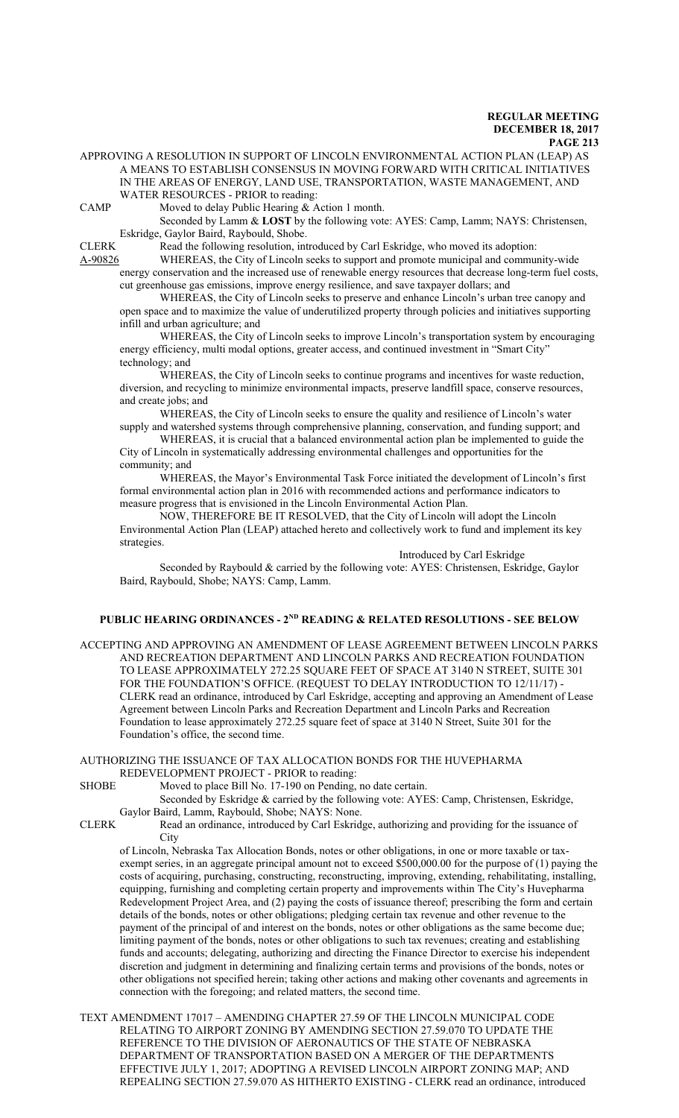APPROVING A RESOLUTION IN SUPPORT OF LINCOLN ENVIRONMENTAL ACTION PLAN (LEAP) AS A MEANS TO ESTABLISH CONSENSUS IN MOVING FORWARD WITH CRITICAL INITIATIVES IN THE AREAS OF ENERGY, LAND USE, TRANSPORTATION, WASTE MANAGEMENT, AND WATER RESOURCES - PRIOR to reading:

CAMP Moved to delay Public Hearing & Action 1 month.

Seconded by Lamm & **LOST** by the following vote: AYES: Camp, Lamm; NAYS: Christensen, Eskridge, Gaylor Baird, Raybould, Shobe.

CLERK Read the following resolution, introduced by Carl Eskridge, who moved its adoption:

A-90826 WHEREAS, the City of Lincoln seeks to support and promote municipal and community-wide

energy conservation and the increased use of renewable energy resources that decrease long-term fuel costs, cut greenhouse gas emissions, improve energy resilience, and save taxpayer dollars; and WHEREAS, the City of Lincoln seeks to preserve and enhance Lincoln's urban tree canopy and

open space and to maximize the value of underutilized property through policies and initiatives supporting infill and urban agriculture; and

WHEREAS, the City of Lincoln seeks to improve Lincoln's transportation system by encouraging energy efficiency, multi modal options, greater access, and continued investment in "Smart City" technology; and

WHEREAS, the City of Lincoln seeks to continue programs and incentives for waste reduction, diversion, and recycling to minimize environmental impacts, preserve landfill space, conserve resources, and create jobs; and

WHEREAS, the City of Lincoln seeks to ensure the quality and resilience of Lincoln's water supply and watershed systems through comprehensive planning, conservation, and funding support; and

WHEREAS, it is crucial that a balanced environmental action plan be implemented to guide the City of Lincoln in systematically addressing environmental challenges and opportunities for the community; and

WHEREAS, the Mayor's Environmental Task Force initiated the development of Lincoln's first formal environmental action plan in 2016 with recommended actions and performance indicators to measure progress that is envisioned in the Lincoln Environmental Action Plan.

NOW, THEREFORE BE IT RESOLVED, that the City of Lincoln will adopt the Lincoln Environmental Action Plan (LEAP) attached hereto and collectively work to fund and implement its key strategies.

Introduced by Carl Eskridge

Seconded by Raybould & carried by the following vote: AYES: Christensen, Eskridge, Gaylor Baird, Raybould, Shobe; NAYS: Camp, Lamm.

# **PUBLIC HEARING ORDINANCES - 2ND READING & RELATED RESOLUTIONS - SEE BELOW**

ACCEPTING AND APPROVING AN AMENDMENT OF LEASE AGREEMENT BETWEEN LINCOLN PARKS AND RECREATION DEPARTMENT AND LINCOLN PARKS AND RECREATION FOUNDATION TO LEASE APPROXIMATELY 272.25 SQUARE FEET OF SPACE AT 3140 N STREET, SUITE 301 FOR THE FOUNDATION'S OFFICE. (REQUEST TO DELAY INTRODUCTION TO 12/11/17) -CLERK read an ordinance, introduced by Carl Eskridge, accepting and approving an Amendment of Lease Agreement between Lincoln Parks and Recreation Department and Lincoln Parks and Recreation Foundation to lease approximately 272.25 square feet of space at 3140 N Street, Suite 301 for the Foundation's office, the second time.

AUTHORIZING THE ISSUANCE OF TAX ALLOCATION BONDS FOR THE HUVEPHARMA REDEVELOPMENT PROJECT - PRIOR to reading:

SHOBE Moved to place Bill No. 17-190 on Pending, no date certain.

Seconded by Eskridge & carried by the following vote: AYES: Camp, Christensen, Eskridge, Gaylor Baird, Lamm, Raybould, Shobe; NAYS: None.

CLERK Read an ordinance, introduced by Carl Eskridge, authorizing and providing for the issuance of **City** 

of Lincoln, Nebraska Tax Allocation Bonds, notes or other obligations, in one or more taxable or taxexempt series, in an aggregate principal amount not to exceed \$500,000.00 for the purpose of (1) paying the costs of acquiring, purchasing, constructing, reconstructing, improving, extending, rehabilitating, installing, equipping, furnishing and completing certain property and improvements within The City's Huvepharma Redevelopment Project Area, and (2) paying the costs of issuance thereof; prescribing the form and certain details of the bonds, notes or other obligations; pledging certain tax revenue and other revenue to the payment of the principal of and interest on the bonds, notes or other obligations as the same become due; limiting payment of the bonds, notes or other obligations to such tax revenues; creating and establishing funds and accounts; delegating, authorizing and directing the Finance Director to exercise his independent discretion and judgment in determining and finalizing certain terms and provisions of the bonds, notes or other obligations not specified herein; taking other actions and making other covenants and agreements in connection with the foregoing; and related matters, the second time.

TEXT AMENDMENT 17017 – AMENDING CHAPTER 27.59 OF THE LINCOLN MUNICIPAL CODE RELATING TO AIRPORT ZONING BY AMENDING SECTION 27.59.070 TO UPDATE THE REFERENCE TO THE DIVISION OF AERONAUTICS OF THE STATE OF NEBRASKA DEPARTMENT OF TRANSPORTATION BASED ON A MERGER OF THE DEPARTMENTS EFFECTIVE JULY 1, 2017; ADOPTING A REVISED LINCOLN AIRPORT ZONING MAP; AND REPEALING SECTION 27.59.070 AS HITHERTO EXISTING - CLERK read an ordinance, introduced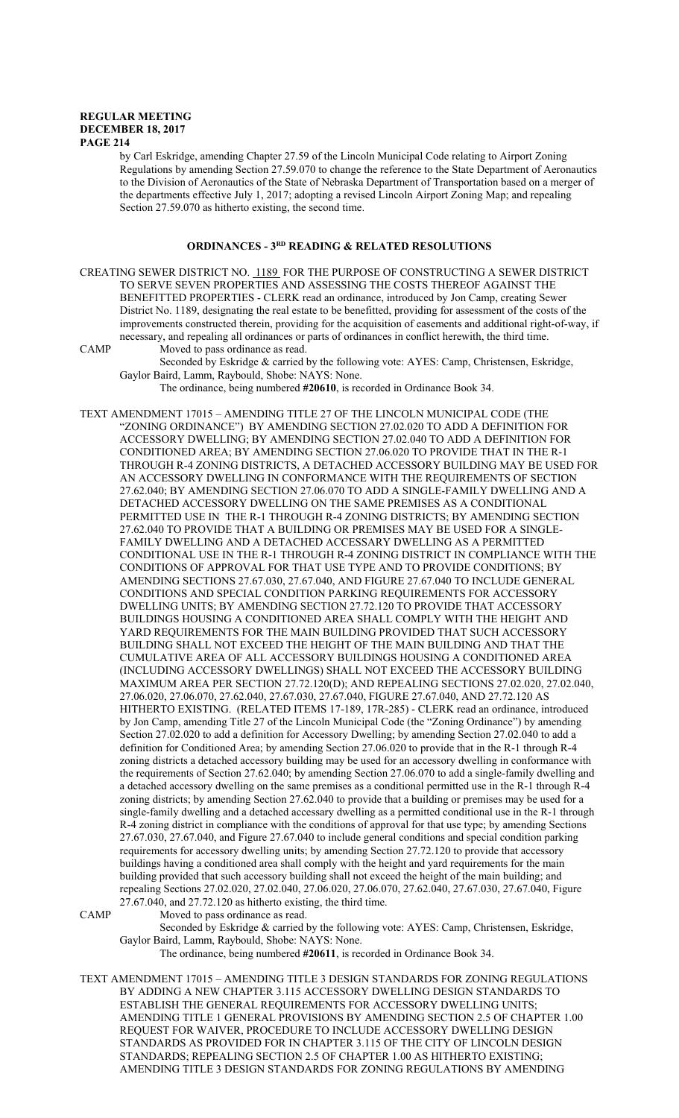by Carl Eskridge, amending Chapter 27.59 of the Lincoln Municipal Code relating to Airport Zoning Regulations by amending Section 27.59.070 to change the reference to the State Department of Aeronautics to the Division of Aeronautics of the State of Nebraska Department of Transportation based on a merger of the departments effective July 1, 2017; adopting a revised Lincoln Airport Zoning Map; and repealing Section 27.59.070 as hitherto existing, the second time.

# **ORDINANCES - 3RD READING & RELATED RESOLUTIONS**

CREATING SEWER DISTRICT NO. 1189 FOR THE PURPOSE OF CONSTRUCTING A SEWER DISTRICT TO SERVE SEVEN PROPERTIES AND ASSESSING THE COSTS THEREOF AGAINST THE BENEFITTED PROPERTIES - CLERK read an ordinance, introduced by Jon Camp, creating Sewer District No. 1189, designating the real estate to be benefitted, providing for assessment of the costs of the improvements constructed therein, providing for the acquisition of easements and additional right-of-way, if necessary, and repealing all ordinances or parts of ordinances in conflict herewith, the third time.

CAMP Moved to pass ordinance as read. Seconded by Eskridge & carried by the following vote: AYES: Camp, Christensen, Eskridge,

Gaylor Baird, Lamm, Raybould, Shobe: NAYS: None.

The ordinance, being numbered **#20610**, is recorded in Ordinance Book 34.

TEXT AMENDMENT 17015 – AMENDING TITLE 27 OF THE LINCOLN MUNICIPAL CODE (THE "ZONING ORDINANCE") BY AMENDING SECTION 27.02.020 TO ADD A DEFINITION FOR ACCESSORY DWELLING; BY AMENDING SECTION 27.02.040 TO ADD A DEFINITION FOR CONDITIONED AREA; BY AMENDING SECTION 27.06.020 TO PROVIDE THAT IN THE R-1 THROUGH R-4 ZONING DISTRICTS, A DETACHED ACCESSORY BUILDING MAY BE USED FOR AN ACCESSORY DWELLING IN CONFORMANCE WITH THE REQUIREMENTS OF SECTION 27.62.040; BY AMENDING SECTION 27.06.070 TO ADD A SINGLE-FAMILY DWELLING AND A DETACHED ACCESSORY DWELLING ON THE SAME PREMISES AS A CONDITIONAL PERMITTED USE IN THE R-1 THROUGH R-4 ZONING DISTRICTS; BY AMENDING SECTION 27.62.040 TO PROVIDE THAT A BUILDING OR PREMISES MAY BE USED FOR A SINGLE-FAMILY DWELLING AND A DETACHED ACCESSARY DWELLING AS A PERMITTED CONDITIONAL USE IN THE R-1 THROUGH R-4 ZONING DISTRICT IN COMPLIANCE WITH THE CONDITIONS OF APPROVAL FOR THAT USE TYPE AND TO PROVIDE CONDITIONS; BY AMENDING SECTIONS 27.67.030, 27.67.040, AND FIGURE 27.67.040 TO INCLUDE GENERAL CONDITIONS AND SPECIAL CONDITION PARKING REQUIREMENTS FOR ACCESSORY DWELLING UNITS; BY AMENDING SECTION 27.72.120 TO PROVIDE THAT ACCESSORY BUILDINGS HOUSING A CONDITIONED AREA SHALL COMPLY WITH THE HEIGHT AND YARD REQUIREMENTS FOR THE MAIN BUILDING PROVIDED THAT SUCH ACCESSORY BUILDING SHALL NOT EXCEED THE HEIGHT OF THE MAIN BUILDING AND THAT THE CUMULATIVE AREA OF ALL ACCESSORY BUILDINGS HOUSING A CONDITIONED AREA (INCLUDING ACCESSORY DWELLINGS) SHALL NOT EXCEED THE ACCESSORY BUILDING MAXIMUM AREA PER SECTION 27.72.120(D); AND REPEALING SECTIONS 27.02.020, 27.02.040, 27.06.020, 27.06.070, 27.62.040, 27.67.030, 27.67.040, FIGURE 27.67.040, AND 27.72.120 AS HITHERTO EXISTING. (RELATED ITEMS 17-189, 17R-285) - CLERK read an ordinance, introduced by Jon Camp, amending Title 27 of the Lincoln Municipal Code (the "Zoning Ordinance") by amending Section 27.02.020 to add a definition for Accessory Dwelling; by amending Section 27.02.040 to add a definition for Conditioned Area; by amending Section 27.06.020 to provide that in the R-1 through R-4 zoning districts a detached accessory building may be used for an accessory dwelling in conformance with the requirements of Section 27.62.040; by amending Section 27.06.070 to add a single-family dwelling and a detached accessory dwelling on the same premises as a conditional permitted use in the R-1 through R-4 zoning districts; by amending Section 27.62.040 to provide that a building or premises may be used for a single-family dwelling and a detached accessary dwelling as a permitted conditional use in the R-1 through R-4 zoning district in compliance with the conditions of approval for that use type; by amending Sections 27.67.030, 27.67.040, and Figure 27.67.040 to include general conditions and special condition parking requirements for accessory dwelling units; by amending Section 27.72.120 to provide that accessory buildings having a conditioned area shall comply with the height and yard requirements for the main building provided that such accessory building shall not exceed the height of the main building; and repealing Sections 27.02.020, 27.02.040, 27.06.020, 27.06.070, 27.62.040, 27.67.030, 27.67.040, Figure 27.67.040, and 27.72.120 as hitherto existing, the third time.

CAMP Moved to pass ordinance as read.

Seconded by Eskridge & carried by the following vote: AYES: Camp, Christensen, Eskridge, Gaylor Baird, Lamm, Raybould, Shobe: NAYS: None.

The ordinance, being numbered **#20611**, is recorded in Ordinance Book 34.

TEXT AMENDMENT 17015 – AMENDING TITLE 3 DESIGN STANDARDS FOR ZONING REGULATIONS BY ADDING A NEW CHAPTER 3.115 ACCESSORY DWELLING DESIGN STANDARDS TO ESTABLISH THE GENERAL REQUIREMENTS FOR ACCESSORY DWELLING UNITS; AMENDING TITLE 1 GENERAL PROVISIONS BY AMENDING SECTION 2.5 OF CHAPTER 1.00 REQUEST FOR WAIVER, PROCEDURE TO INCLUDE ACCESSORY DWELLING DESIGN STANDARDS AS PROVIDED FOR IN CHAPTER 3.115 OF THE CITY OF LINCOLN DESIGN STANDARDS; REPEALING SECTION 2.5 OF CHAPTER 1.00 AS HITHERTO EXISTING; AMENDING TITLE 3 DESIGN STANDARDS FOR ZONING REGULATIONS BY AMENDING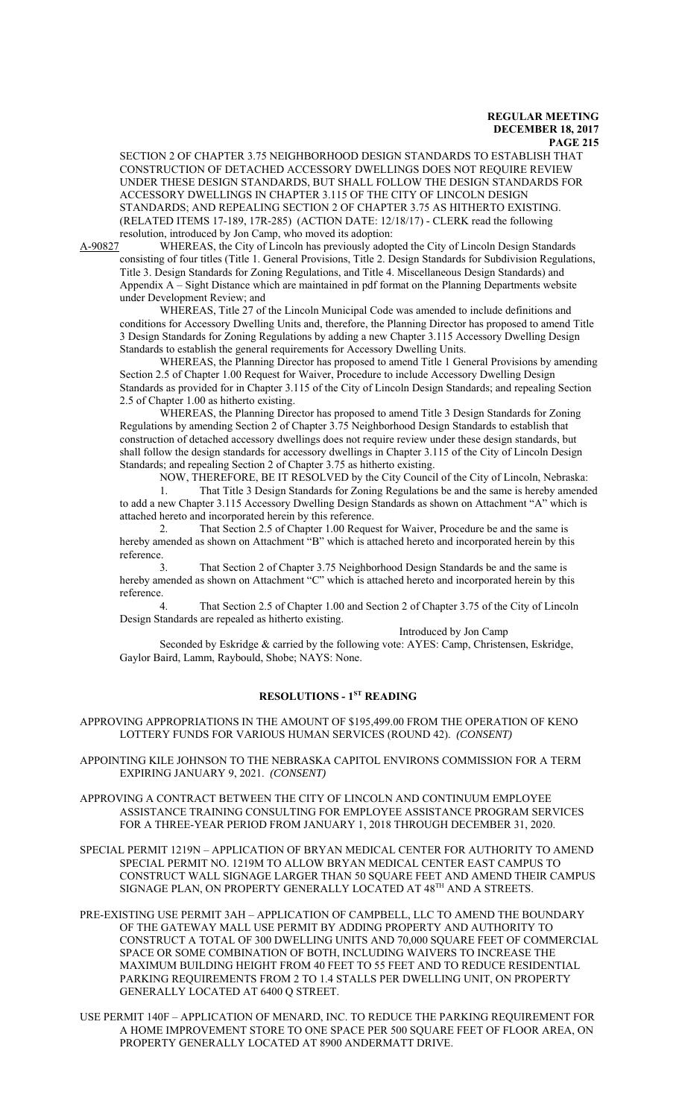SECTION 2 OF CHAPTER 3.75 NEIGHBORHOOD DESIGN STANDARDS TO ESTABLISH THAT CONSTRUCTION OF DETACHED ACCESSORY DWELLINGS DOES NOT REQUIRE REVIEW UNDER THESE DESIGN STANDARDS, BUT SHALL FOLLOW THE DESIGN STANDARDS FOR ACCESSORY DWELLINGS IN CHAPTER 3.115 OF THE CITY OF LINCOLN DESIGN STANDARDS; AND REPEALING SECTION 2 OF CHAPTER 3.75 AS HITHERTO EXISTING. (RELATED ITEMS 17-189, 17R-285) (ACTION DATE: 12/18/17) - CLERK read the following resolution, introduced by Jon Camp, who moved its adoption:

A-90827 WHEREAS, the City of Lincoln has previously adopted the City of Lincoln Design Standards consisting of four titles (Title 1. General Provisions, Title 2. Design Standards for Subdivision Regulations, Title 3. Design Standards for Zoning Regulations, and Title 4. Miscellaneous Design Standards) and Appendix A – Sight Distance which are maintained in pdf format on the Planning Departments website under Development Review; and

WHEREAS, Title 27 of the Lincoln Municipal Code was amended to include definitions and conditions for Accessory Dwelling Units and, therefore, the Planning Director has proposed to amend Title 3 Design Standards for Zoning Regulations by adding a new Chapter 3.115 Accessory Dwelling Design Standards to establish the general requirements for Accessory Dwelling Units.

WHEREAS, the Planning Director has proposed to amend Title 1 General Provisions by amending Section 2.5 of Chapter 1.00 Request for Waiver, Procedure to include Accessory Dwelling Design Standards as provided for in Chapter 3.115 of the City of Lincoln Design Standards; and repealing Section 2.5 of Chapter 1.00 as hitherto existing.

WHEREAS, the Planning Director has proposed to amend Title 3 Design Standards for Zoning Regulations by amending Section 2 of Chapter 3.75 Neighborhood Design Standards to establish that construction of detached accessory dwellings does not require review under these design standards, but shall follow the design standards for accessory dwellings in Chapter 3.115 of the City of Lincoln Design Standards; and repealing Section 2 of Chapter 3.75 as hitherto existing.

NOW, THEREFORE, BE IT RESOLVED by the City Council of the City of Lincoln, Nebraska: 1. That Title 3 Design Standards for Zoning Regulations be and the same is hereby amended to add a new Chapter 3.115 Accessory Dwelling Design Standards as shown on Attachment "A" which is attached hereto and incorporated herein by this reference.

2. That Section 2.5 of Chapter 1.00 Request for Waiver, Procedure be and the same is hereby amended as shown on Attachment "B" which is attached hereto and incorporated herein by this reference.

3. That Section 2 of Chapter 3.75 Neighborhood Design Standards be and the same is hereby amended as shown on Attachment "C" which is attached hereto and incorporated herein by this reference.

4. That Section 2.5 of Chapter 1.00 and Section 2 of Chapter 3.75 of the City of Lincoln Design Standards are repealed as hitherto existing.

Introduced by Jon Camp

Seconded by Eskridge & carried by the following vote: AYES: Camp, Christensen, Eskridge, Gaylor Baird, Lamm, Raybould, Shobe; NAYS: None.

# **RESOLUTIONS - 1ST READING**

APPROVING APPROPRIATIONS IN THE AMOUNT OF \$195,499.00 FROM THE OPERATION OF KENO LOTTERY FUNDS FOR VARIOUS HUMAN SERVICES (ROUND 42). *(CONSENT)*

APPOINTING KILE JOHNSON TO THE NEBRASKA CAPITOL ENVIRONS COMMISSION FOR A TERM EXPIRING JANUARY 9, 2021. *(CONSENT)*

APPROVING A CONTRACT BETWEEN THE CITY OF LINCOLN AND CONTINUUM EMPLOYEE ASSISTANCE TRAINING CONSULTING FOR EMPLOYEE ASSISTANCE PROGRAM SERVICES FOR A THREE-YEAR PERIOD FROM JANUARY 1, 2018 THROUGH DECEMBER 31, 2020.

SPECIAL PERMIT 1219N – APPLICATION OF BRYAN MEDICAL CENTER FOR AUTHORITY TO AMEND SPECIAL PERMIT NO. 1219M TO ALLOW BRYAN MEDICAL CENTER EAST CAMPUS TO CONSTRUCT WALL SIGNAGE LARGER THAN 50 SQUARE FEET AND AMEND THEIR CAMPUS SIGNAGE PLAN, ON PROPERTY GENERALLY LOCATED AT 48TH AND A STREETS.

PRE-EXISTING USE PERMIT 3AH – APPLICATION OF CAMPBELL, LLC TO AMEND THE BOUNDARY OF THE GATEWAY MALL USE PERMIT BY ADDING PROPERTY AND AUTHORITY TO CONSTRUCT A TOTAL OF 300 DWELLING UNITS AND 70,000 SQUARE FEET OF COMMERCIAL SPACE OR SOME COMBINATION OF BOTH, INCLUDING WAIVERS TO INCREASE THE MAXIMUM BUILDING HEIGHT FROM 40 FEET TO 55 FEET AND TO REDUCE RESIDENTIAL PARKING REQUIREMENTS FROM 2 TO 1.4 STALLS PER DWELLING UNIT, ON PROPERTY GENERALLY LOCATED AT 6400 Q STREET.

USE PERMIT 140F – APPLICATION OF MENARD, INC. TO REDUCE THE PARKING REQUIREMENT FOR A HOME IMPROVEMENT STORE TO ONE SPACE PER 500 SQUARE FEET OF FLOOR AREA, ON PROPERTY GENERALLY LOCATED AT 8900 ANDERMATT DRIVE.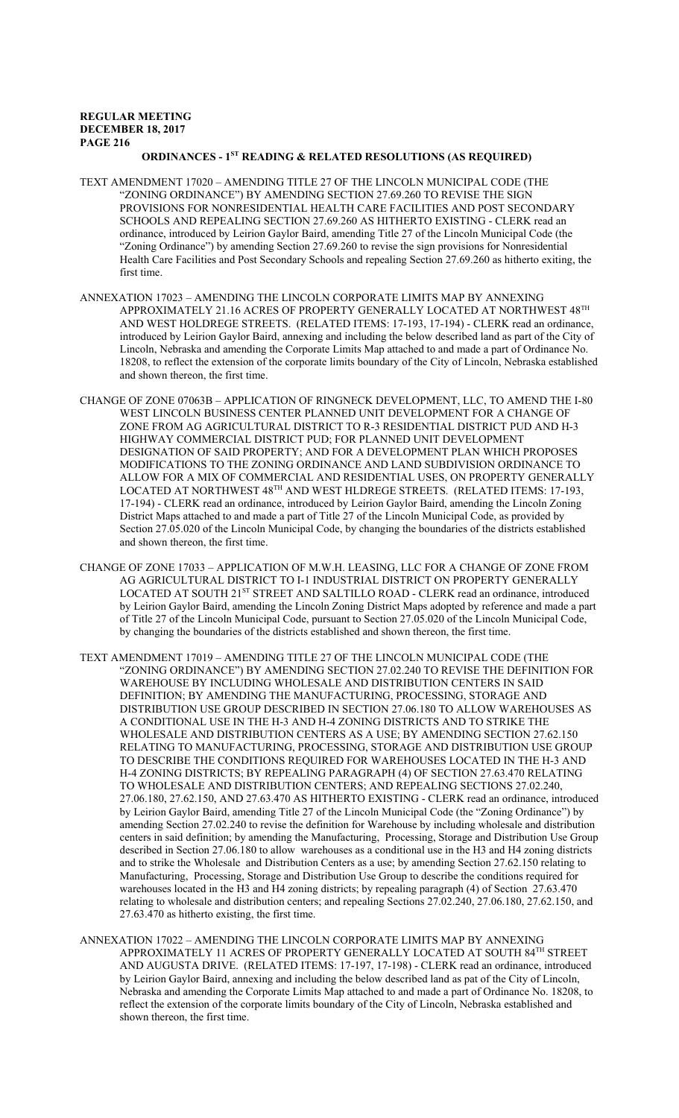# **ORDINANCES - 1ST READING & RELATED RESOLUTIONS (AS REQUIRED)**

- TEXT AMENDMENT 17020 AMENDING TITLE 27 OF THE LINCOLN MUNICIPAL CODE (THE "ZONING ORDINANCE") BY AMENDING SECTION 27.69.260 TO REVISE THE SIGN PROVISIONS FOR NONRESIDENTIAL HEALTH CARE FACILITIES AND POST SECONDARY SCHOOLS AND REPEALING SECTION 27.69.260 AS HITHERTO EXISTING - CLERK read an ordinance, introduced by Leirion Gaylor Baird, amending Title 27 of the Lincoln Municipal Code (the "Zoning Ordinance") by amending Section 27.69.260 to revise the sign provisions for Nonresidential Health Care Facilities and Post Secondary Schools and repealing Section 27.69.260 as hitherto exiting, the first time.
- ANNEXATION 17023 AMENDING THE LINCOLN CORPORATE LIMITS MAP BY ANNEXING APPROXIMATELY 21.16 ACRES OF PROPERTY GENERALLY LOCATED AT NORTHWEST 48TH AND WEST HOLDREGE STREETS. (RELATED ITEMS: 17-193, 17-194) - CLERK read an ordinance, introduced by Leirion Gaylor Baird, annexing and including the below described land as part of the City of Lincoln, Nebraska and amending the Corporate Limits Map attached to and made a part of Ordinance No. 18208, to reflect the extension of the corporate limits boundary of the City of Lincoln, Nebraska established and shown thereon, the first time.
- CHANGE OF ZONE 07063B APPLICATION OF RINGNECK DEVELOPMENT, LLC, TO AMEND THE I-80 WEST LINCOLN BUSINESS CENTER PLANNED UNIT DEVELOPMENT FOR A CHANGE OF ZONE FROM AG AGRICULTURAL DISTRICT TO R-3 RESIDENTIAL DISTRICT PUD AND H-3 HIGHWAY COMMERCIAL DISTRICT PUD; FOR PLANNED UNIT DEVELOPMENT DESIGNATION OF SAID PROPERTY; AND FOR A DEVELOPMENT PLAN WHICH PROPOSES MODIFICATIONS TO THE ZONING ORDINANCE AND LAND SUBDIVISION ORDINANCE TO ALLOW FOR A MIX OF COMMERCIAL AND RESIDENTIAL USES, ON PROPERTY GENERALLY LOCATED AT NORTHWEST 48<sup>TH</sup> AND WEST HLDREGE STREETS. (RELATED ITEMS: 17-193, 17-194) - CLERK read an ordinance, introduced by Leirion Gaylor Baird, amending the Lincoln Zoning District Maps attached to and made a part of Title 27 of the Lincoln Municipal Code, as provided by Section 27.05.020 of the Lincoln Municipal Code, by changing the boundaries of the districts established and shown thereon, the first time.
- CHANGE OF ZONE 17033 APPLICATION OF M.W.H. LEASING, LLC FOR A CHANGE OF ZONE FROM AG AGRICULTURAL DISTRICT TO I-1 INDUSTRIAL DISTRICT ON PROPERTY GENERALLY LOCATED AT SOUTH 21<sup>ST</sup> STREET AND SALTILLO ROAD - CLERK read an ordinance, introduced by Leirion Gaylor Baird, amending the Lincoln Zoning District Maps adopted by reference and made a part of Title 27 of the Lincoln Municipal Code, pursuant to Section 27.05.020 of the Lincoln Municipal Code, by changing the boundaries of the districts established and shown thereon, the first time.
- TEXT AMENDMENT 17019 AMENDING TITLE 27 OF THE LINCOLN MUNICIPAL CODE (THE "ZONING ORDINANCE") BY AMENDING SECTION 27.02.240 TO REVISE THE DEFINITION FOR WAREHOUSE BY INCLUDING WHOLESALE AND DISTRIBUTION CENTERS IN SAID DEFINITION; BY AMENDING THE MANUFACTURING, PROCESSING, STORAGE AND DISTRIBUTION USE GROUP DESCRIBED IN SECTION 27.06.180 TO ALLOW WAREHOUSES AS A CONDITIONAL USE IN THE H-3 AND H-4 ZONING DISTRICTS AND TO STRIKE THE WHOLESALE AND DISTRIBUTION CENTERS AS A USE; BY AMENDING SECTION 27.62.150 RELATING TO MANUFACTURING, PROCESSING, STORAGE AND DISTRIBUTION USE GROUP TO DESCRIBE THE CONDITIONS REQUIRED FOR WAREHOUSES LOCATED IN THE H-3 AND H-4 ZONING DISTRICTS; BY REPEALING PARAGRAPH (4) OF SECTION 27.63.470 RELATING TO WHOLESALE AND DISTRIBUTION CENTERS; AND REPEALING SECTIONS 27.02.240, 27.06.180, 27.62.150, AND 27.63.470 AS HITHERTO EXISTING - CLERK read an ordinance, introduced by Leirion Gaylor Baird, amending Title 27 of the Lincoln Municipal Code (the "Zoning Ordinance") by amending Section 27.02.240 to revise the definition for Warehouse by including wholesale and distribution centers in said definition; by amending the Manufacturing, Processing, Storage and Distribution Use Group described in Section 27.06.180 to allow warehouses as a conditional use in the H3 and H4 zoning districts and to strike the Wholesale and Distribution Centers as a use; by amending Section 27.62.150 relating to Manufacturing, Processing, Storage and Distribution Use Group to describe the conditions required for warehouses located in the H3 and H4 zoning districts; by repealing paragraph (4) of Section 27.63.470 relating to wholesale and distribution centers; and repealing Sections 27.02.240, 27.06.180, 27.62.150, and 27.63.470 as hitherto existing, the first time.
- ANNEXATION 17022 AMENDING THE LINCOLN CORPORATE LIMITS MAP BY ANNEXING APPROXIMATELY 11 ACRES OF PROPERTY GENERALLY LOCATED AT SOUTH  $84^{\mathrm{TH}}$  STREET AND AUGUSTA DRIVE. (RELATED ITEMS: 17-197, 17-198) - CLERK read an ordinance, introduced by Leirion Gaylor Baird, annexing and including the below described land as pat of the City of Lincoln, Nebraska and amending the Corporate Limits Map attached to and made a part of Ordinance No. 18208, to reflect the extension of the corporate limits boundary of the City of Lincoln, Nebraska established and shown thereon, the first time.